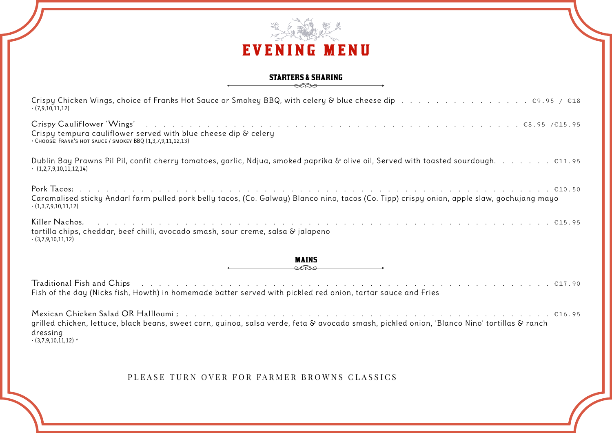

## **STARTERS & SHARING**

| $\cdot$ (7,9,10,11,12)                                                                                                                                                                                                                                                                                                                          |
|-------------------------------------------------------------------------------------------------------------------------------------------------------------------------------------------------------------------------------------------------------------------------------------------------------------------------------------------------|
| Crispy tempura cauliflower served with blue cheese dip & celery<br>· CHOOSE: FRANK'S HOT SAUCE / SMOKEY BBQ (1,3,7,9,11,12,13)                                                                                                                                                                                                                  |
| $\cdot$ (1,2,7,9,10,11,12,14)                                                                                                                                                                                                                                                                                                                   |
| Caramalised sticky Andarl farm pulled pork belly tacos, (Co. Galway) Blanco nino, tacos (Co. Tipp) crispy onion, apple slaw, gochujang mayo<br>$\cdot$ (1,3,7,9,10,11,12)                                                                                                                                                                       |
| Killer Nachos, runder runder and the service of the service of the service of the service of the service of the service of the service of the service of the service of the service of the service of the service of the servi<br>tortilla chips, cheddar, beef chilli, avocado smash, sour creme, salsa & jalapeno<br>$\cdot$ (3,7,9,10,11,12) |
| <b>MAINS</b><br>$\epsilon$                                                                                                                                                                                                                                                                                                                      |
| Fish of the day (Nicks fish, Howth) in homemade batter served with pickled red onion, tartar sauce and Fries                                                                                                                                                                                                                                    |
| grilled chicken, lettuce, black beans, sweet corn, quinoa, salsa verde, feta & avocado smash, pickled onion, 'Blanco Nino' tortillas & ranch<br>dressing<br>$\cdot$ (3,7,9,10,11,12) *                                                                                                                                                          |

PLEASE TURN OVER FOR FARMER BROWNS CLASSICS